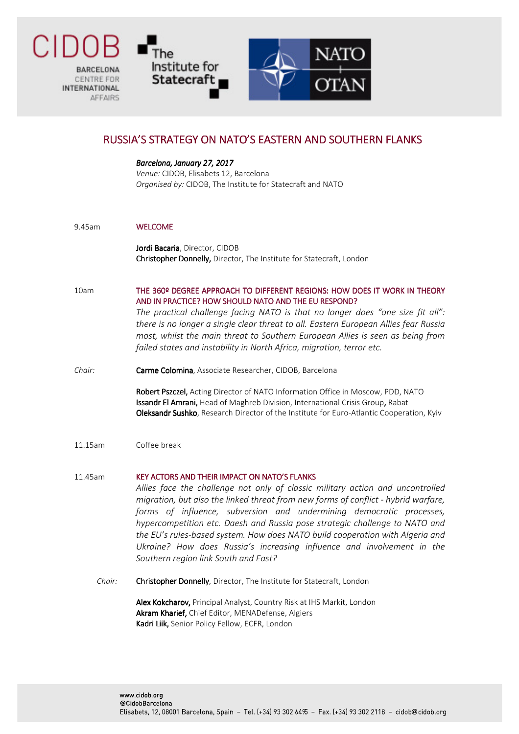**BARCELONA** CENTRE EDR **INTERNATIONAL AFFAIRS** 

Гhе

Institute for

Statecraft



## RUSSIA'S STRATEGY ON NATO'S EASTERN AND SOUTHERN FLANKS

Barcelona, January 27, 2017 Venue: CIDOB, Elisabets 12, Barcelona Organised by: CIDOB, The Institute for Statecraft and NATO

9.45am WELCOME WELCOME

Jordi Bacaria, Director, CIDOB Christopher Donnelly, Director, The Institute for Statecraft, London

10am THE 360º DEGREE APPROACH TO DIFFERENT REGIONS: HOW DOES IT WORK IN THEORY AND IN PRACTICE? HOW SHOULD NATO AND THE EU RESPOND?

> The practical challenge facing NATO is that no longer does "one size fit all": there is no longer a single clear threat to all. Eastern European Allies fear Russia most, whilst the main threat to Southern European Allies is seen as being from failed states and instability in North Africa, migration, terror etc.

Chair: Carme Colomina, Associate Researcher, CIDOB, Barcelona

Robert Pszczel, Acting Director of NATO Information Office in Moscow, PDD, NATO Issandr El Amrani, Head of Maghreb Division, International Crisis Group, Rabat Oleksandr Sushko, Research Director of the Institute for Euro-Atlantic Cooperation, Kyiv

- 11.15am Coffee break
- 11.45am KEY ACTORS AND THEIR IMPACT ON NATO'S FLANKS Allies face the challenge not only of classic military action and uncontrolled migration, but also the linked threat from new forms of conflict - hybrid warfare, forms of influence, subversion and undermining democratic processes, hypercompetition etc. Daesh and Russia pose strategic challenge to NATO and the EU's rules-based system. How does NATO build cooperation with Algeria and Ukraine? How does Russia's increasing influence and involvement in the Southern region link South and East?
	- Chair: Christopher Donnelly, Director, The Institute for Statecraft, London

Alex Kokcharov, Principal Analyst, Country Risk at IHS Markit, London Akram Kharief, Chief Editor, MENADefense, Algiers Kadri Liik, Senior Policy Fellow, ECFR, London